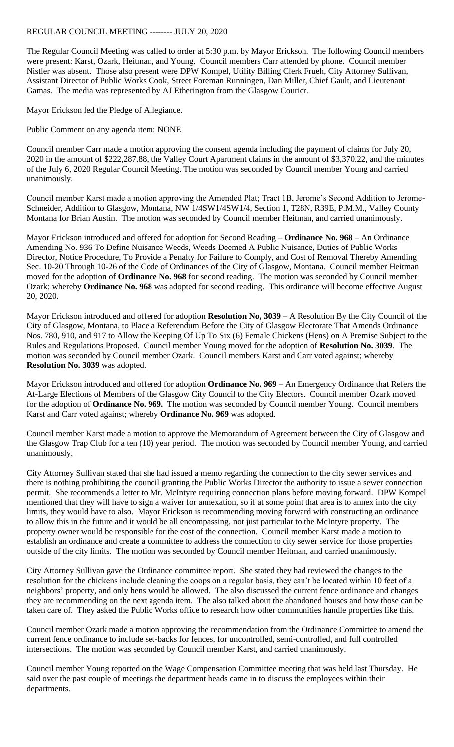## REGULAR COUNCIL MEETING -------- JULY 20, 2020

The Regular Council Meeting was called to order at 5:30 p.m. by Mayor Erickson. The following Council members were present: Karst, Ozark, Heitman, and Young. Council members Carr attended by phone. Council member Nistler was absent. Those also present were DPW Kompel, Utility Billing Clerk Frueh, City Attorney Sullivan, Assistant Director of Public Works Cook, Street Foreman Runningen, Dan Miller, Chief Gault, and Lieutenant Gamas. The media was represented by AJ Etherington from the Glasgow Courier.

Mayor Erickson led the Pledge of Allegiance.

Public Comment on any agenda item: NONE

Council member Carr made a motion approving the consent agenda including the payment of claims for July 20, 2020 in the amount of \$222,287.88, the Valley Court Apartment claims in the amount of \$3,370.22, and the minutes of the July 6, 2020 Regular Council Meeting. The motion was seconded by Council member Young and carried unanimously.

Council member Karst made a motion approving the Amended Plat; Tract 1B, Jerome's Second Addition to Jerome-Schneider, Addition to Glasgow, Montana, NW 1/4SW1/4SW1/4, Section 1, T28N, R39E, P.M.M., Valley County Montana for Brian Austin. The motion was seconded by Council member Heitman, and carried unanimously.

Mayor Erickson introduced and offered for adoption for Second Reading – **Ordinance No. 968** – An Ordinance Amending No. 936 To Define Nuisance Weeds, Weeds Deemed A Public Nuisance, Duties of Public Works Director, Notice Procedure, To Provide a Penalty for Failure to Comply, and Cost of Removal Thereby Amending Sec. 10-20 Through 10-26 of the Code of Ordinances of the City of Glasgow, Montana. Council member Heitman moved for the adoption of **Ordinance No. 968** for second reading. The motion was seconded by Council member Ozark; whereby **Ordinance No. 968** was adopted for second reading. This ordinance will become effective August 20, 2020.

Mayor Erickson introduced and offered for adoption **Resolution No, 3039** – A Resolution By the City Council of the City of Glasgow, Montana, to Place a Referendum Before the City of Glasgow Electorate That Amends Ordinance Nos. 780, 910, and 917 to Allow the Keeping Of Up To Six (6) Female Chickens (Hens) on A Premise Subject to the Rules and Regulations Proposed. Council member Young moved for the adoption of **Resolution No. 3039**. The motion was seconded by Council member Ozark. Council members Karst and Carr voted against; whereby **Resolution No. 3039** was adopted.

Mayor Erickson introduced and offered for adoption **Ordinance No. 969** – An Emergency Ordinance that Refers the At-Large Elections of Members of the Glasgow City Council to the City Electors. Council member Ozark moved for the adoption of **Ordinance No. 969.** The motion was seconded by Council member Young. Council members Karst and Carr voted against; whereby **Ordinance No. 969** was adopted.

Council member Karst made a motion to approve the Memorandum of Agreement between the City of Glasgow and the Glasgow Trap Club for a ten (10) year period. The motion was seconded by Council member Young, and carried unanimously.

City Attorney Sullivan stated that she had issued a memo regarding the connection to the city sewer services and there is nothing prohibiting the council granting the Public Works Director the authority to issue a sewer connection permit. She recommends a letter to Mr. McIntyre requiring connection plans before moving forward. DPW Kompel mentioned that they will have to sign a waiver for annexation, so if at some point that area is to annex into the city limits, they would have to also. Mayor Erickson is recommending moving forward with constructing an ordinance to allow this in the future and it would be all encompassing, not just particular to the McIntyre property. The property owner would be responsible for the cost of the connection. Council member Karst made a motion to establish an ordinance and create a committee to address the connection to city sewer service for those properties outside of the city limits. The motion was seconded by Council member Heitman, and carried unanimously.

City Attorney Sullivan gave the Ordinance committee report. She stated they had reviewed the changes to the resolution for the chickens include cleaning the coops on a regular basis, they can't be located within 10 feet of a neighbors' property, and only hens would be allowed. The also discussed the current fence ordinance and changes they are recommending on the next agenda item. The also talked about the abandoned houses and how those can be taken care of. They asked the Public Works office to research how other communities handle properties like this.

Council member Ozark made a motion approving the recommendation from the Ordinance Committee to amend the current fence ordinance to include set-backs for fences, for uncontrolled, semi-controlled, and full controlled intersections. The motion was seconded by Council member Karst, and carried unanimously.

Council member Young reported on the Wage Compensation Committee meeting that was held last Thursday. He said over the past couple of meetings the department heads came in to discuss the employees within their departments.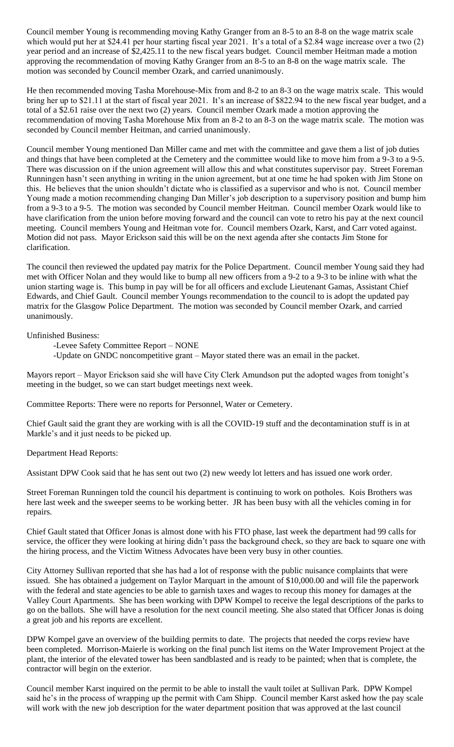Council member Young is recommending moving Kathy Granger from an 8-5 to an 8-8 on the wage matrix scale which would put her at \$24.41 per hour starting fiscal year 2021. It's a total of a \$2.84 wage increase over a two (2) year period and an increase of \$2,425.11 to the new fiscal years budget. Council member Heitman made a motion approving the recommendation of moving Kathy Granger from an 8-5 to an 8-8 on the wage matrix scale. The motion was seconded by Council member Ozark, and carried unanimously.

He then recommended moving Tasha Morehouse-Mix from and 8-2 to an 8-3 on the wage matrix scale. This would bring her up to \$21.11 at the start of fiscal year 2021. It's an increase of \$822.94 to the new fiscal year budget, and a total of a \$2.61 raise over the next two (2) years. Council member Ozark made a motion approving the recommendation of moving Tasha Morehouse Mix from an 8-2 to an 8-3 on the wage matrix scale. The motion was seconded by Council member Heitman, and carried unanimously.

Council member Young mentioned Dan Miller came and met with the committee and gave them a list of job duties and things that have been completed at the Cemetery and the committee would like to move him from a 9-3 to a 9-5. There was discussion on if the union agreement will allow this and what constitutes supervisor pay. Street Foreman Runningen hasn't seen anything in writing in the union agreement, but at one time he had spoken with Jim Stone on this. He believes that the union shouldn't dictate who is classified as a supervisor and who is not. Council member Young made a motion recommending changing Dan Miller's job description to a supervisory position and bump him from a 9-3 to a 9-5. The motion was seconded by Council member Heitman. Council member Ozark would like to have clarification from the union before moving forward and the council can vote to retro his pay at the next council meeting. Council members Young and Heitman vote for. Council members Ozark, Karst, and Carr voted against. Motion did not pass. Mayor Erickson said this will be on the next agenda after she contacts Jim Stone for clarification.

The council then reviewed the updated pay matrix for the Police Department. Council member Young said they had met with Officer Nolan and they would like to bump all new officers from a 9-2 to a 9-3 to be inline with what the union starting wage is. This bump in pay will be for all officers and exclude Lieutenant Gamas, Assistant Chief Edwards, and Chief Gault. Council member Youngs recommendation to the council to is adopt the updated pay matrix for the Glasgow Police Department. The motion was seconded by Council member Ozark, and carried unanimously.

Unfinished Business:

-Levee Safety Committee Report – NONE

-Update on GNDC noncompetitive grant – Mayor stated there was an email in the packet.

Mayors report – Mayor Erickson said she will have City Clerk Amundson put the adopted wages from tonight's meeting in the budget, so we can start budget meetings next week.

Committee Reports: There were no reports for Personnel, Water or Cemetery.

Chief Gault said the grant they are working with is all the COVID-19 stuff and the decontamination stuff is in at Markle's and it just needs to be picked up.

Department Head Reports:

Assistant DPW Cook said that he has sent out two (2) new weedy lot letters and has issued one work order.

Street Foreman Runningen told the council his department is continuing to work on potholes. Kois Brothers was here last week and the sweeper seems to be working better. JR has been busy with all the vehicles coming in for repairs.

Chief Gault stated that Officer Jonas is almost done with his FTO phase, last week the department had 99 calls for service, the officer they were looking at hiring didn't pass the background check, so they are back to square one with the hiring process, and the Victim Witness Advocates have been very busy in other counties.

City Attorney Sullivan reported that she has had a lot of response with the public nuisance complaints that were issued. She has obtained a judgement on Taylor Marquart in the amount of \$10,000.00 and will file the paperwork with the federal and state agencies to be able to garnish taxes and wages to recoup this money for damages at the Valley Court Apartments. She has been working with DPW Kompel to receive the legal descriptions of the parks to go on the ballots. She will have a resolution for the next council meeting. She also stated that Officer Jonas is doing a great job and his reports are excellent.

DPW Kompel gave an overview of the building permits to date. The projects that needed the corps review have been completed. Morrison-Maierle is working on the final punch list items on the Water Improvement Project at the plant, the interior of the elevated tower has been sandblasted and is ready to be painted; when that is complete, the contractor will begin on the exterior.

Council member Karst inquired on the permit to be able to install the vault toilet at Sullivan Park. DPW Kompel said he's in the process of wrapping up the permit with Cam Shipp. Council member Karst asked how the pay scale will work with the new job description for the water department position that was approved at the last council